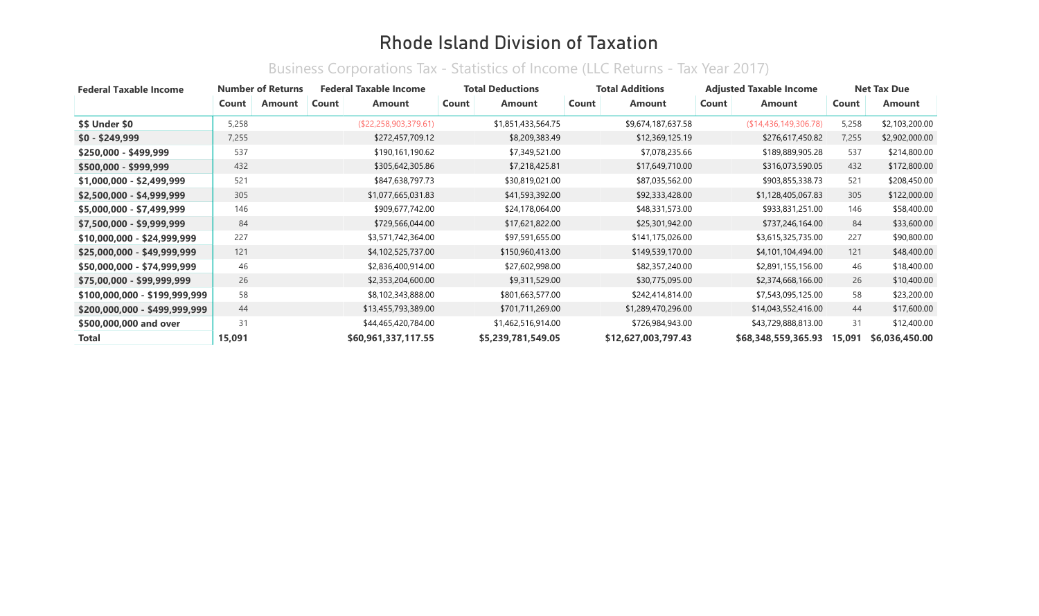#### Business Corporations Tax - Statistics of Income (LLC Returns - Tax Year 2017)

| <b>Federal Taxable Income</b> |        | <b>Number of Returns</b> |       | <b>Federal Taxable Income</b> |       | <b>Total Deductions</b> |       | <b>Total Additions</b> |       | <b>Adjusted Taxable Income</b> |        | <b>Net Tax Due</b> |
|-------------------------------|--------|--------------------------|-------|-------------------------------|-------|-------------------------|-------|------------------------|-------|--------------------------------|--------|--------------------|
|                               | Count  | Amount                   | Count | <b>Amount</b>                 | Count | <b>Amount</b>           | Count | Amount                 | Count | Amount                         | Count  | <b>Amount</b>      |
| \$\$ Under \$0                | 5,258  |                          |       | (\$22,258,903,379.61)         |       | \$1,851,433,564.75      |       | \$9,674,187,637.58     |       | (\$14,436,149,306.78)          | 5,258  | \$2,103,200.00     |
| $$0 - $249,999$               | 7,255  |                          |       | \$272,457,709.12              |       | \$8,209,383.49          |       | \$12,369,125.19        |       | \$276,617,450.82               | 7,255  | \$2,902,000.00     |
| \$250,000 - \$499,999         | 537    |                          |       | \$190,161,190.62              |       | \$7,349,521.00          |       | \$7,078,235.66         |       | \$189,889,905.28               | 537    | \$214,800.00       |
| \$500,000 - \$999,999         | 432    |                          |       | \$305,642,305.86              |       | \$7,218,425.81          |       | \$17,649,710.00        |       | \$316,073,590.05               | 432    | \$172,800.00       |
| \$1,000,000 - \$2,499,999     | 521    |                          |       | \$847,638,797.73              |       | \$30,819,021.00         |       | \$87,035,562.00        |       | \$903,855,338.73               | 521    | \$208,450.00       |
| $$2,500,000 - $4,999,999$     | 305    |                          |       | \$1,077,665,031.83            |       | \$41,593,392.00         |       | \$92,333,428.00        |       | \$1,128,405,067.83             | 305    | \$122,000.00       |
| $$5,000,000 - $7,499,999$     | 146    |                          |       | \$909,677,742.00              |       | \$24,178,064.00         |       | \$48,331,573.00        |       | \$933,831,251.00               | 146    | \$58,400.00        |
| \$7,500,000 - \$9,999,999     | 84     |                          |       | \$729,566,044.00              |       | \$17,621,822.00         |       | \$25,301,942.00        |       | \$737,246,164.00               | 84     | \$33,600.00        |
| \$10,000,000 - \$24,999,999   | 227    |                          |       | \$3,571,742,364.00            |       | \$97,591,655.00         |       | \$141,175,026.00       |       | \$3,615,325,735.00             | 227    | \$90,800.00        |
| \$25,000,000 - \$49,999,999   | 121    |                          |       | \$4,102,525,737.00            |       | \$150,960,413.00        |       | \$149,539,170.00       |       | \$4,101,104,494.00             | 121    | \$48,400.00        |
| \$50,000,000 - \$74,999,999   | 46     |                          |       | \$2,836,400,914.00            |       | \$27,602,998.00         |       | \$82,357,240.00        |       | \$2,891,155,156.00             | 46     | \$18,400.00        |
| \$75,00,000 - \$99,999,999    | 26     |                          |       | \$2,353,204,600.00            |       | \$9,311,529.00          |       | \$30,775,095.00        |       | \$2,374,668,166.00             | 26     | \$10,400.00        |
| \$100,000,000 - \$199,999,999 | 58     |                          |       | \$8,102,343,888.00            |       | \$801,663,577.00        |       | \$242,414,814.00       |       | \$7,543,095,125.00             | 58     | \$23,200.00        |
| \$200,000,000 - \$499,999,999 | 44     |                          |       | \$13,455,793,389.00           |       | \$701,711,269.00        |       | \$1,289,470,296.00     |       | \$14,043,552,416.00            | 44     | \$17,600.00        |
| \$500,000,000 and over        | 31     |                          |       | \$44,465,420,784.00           |       | \$1,462,516,914.00      |       | \$726,984,943.00       |       | \$43,729,888,813.00            | 31     | \$12,400.00        |
| <b>Total</b>                  | 15,091 |                          |       | \$60,961,337,117.55           |       | \$5,239,781,549.05      |       | \$12,627,003,797.43    |       | \$68,348,559,365.93            | 15,091 | \$6,036,450.00     |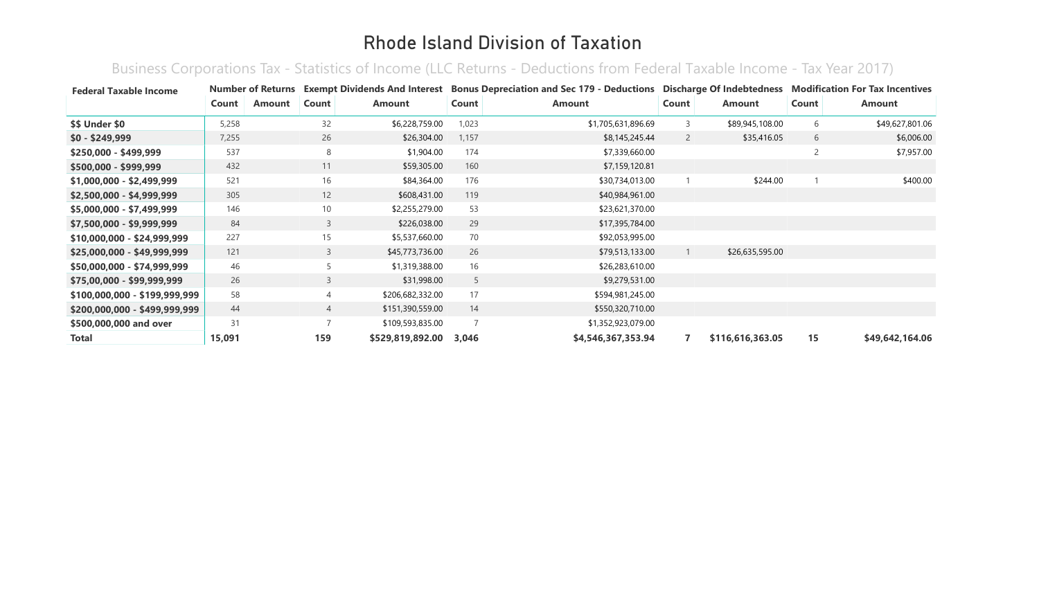Business Corporations Tax - Statistics of Income (LLC Returns - Deductions from Federal Taxable Income - Tax Year 2017)

| <b>Federal Taxable Income</b> |        | <b>Number of Returns</b> |                 | <b>Exempt Dividends And Interest</b> |       | <b>Bonus Depreciation and Sec 179 - Deductions Discharge Of Indebtedness</b> |                |                  |                | <b>Modification For Tax Incentives</b> |
|-------------------------------|--------|--------------------------|-----------------|--------------------------------------|-------|------------------------------------------------------------------------------|----------------|------------------|----------------|----------------------------------------|
|                               | Count  | <b>Amount</b>            | Count           | <b>Amount</b>                        | Count | <b>Amount</b>                                                                | Count          | <b>Amount</b>    | Count          | Amount                                 |
| <b>\$\$ Under \$0</b>         | 5,258  |                          | 32              | \$6,228,759.00                       | 1,023 | \$1,705,631,896.69                                                           | 3              | \$89,945,108.00  | 6              | \$49,627,801.06                        |
| $$0 - $249,999$               | 7,255  |                          | 26              | \$26,304.00                          | 1,157 | \$8,145,245.44                                                               | $\overline{2}$ | \$35,416.05      | 6              | \$6,006.00                             |
| \$250,000 - \$499,999         | 537    |                          | 8               | \$1,904.00                           | 174   | \$7,339,660.00                                                               |                |                  | $\overline{2}$ | \$7,957.00                             |
| \$500,000 - \$999,999         | 432    |                          | 11              | \$59,305.00                          | 160   | \$7,159,120.81                                                               |                |                  |                |                                        |
| \$1,000,000 - \$2,499,999     | 521    |                          | 16              | \$84,364.00                          | 176   | \$30,734,013.00                                                              |                | \$244.00         |                | \$400.00                               |
| \$2,500,000 - \$4,999,999     | 305    |                          | 12              | \$608,431.00                         | 119   | \$40,984,961.00                                                              |                |                  |                |                                        |
| \$5,000,000 - \$7,499,999     | 146    |                          | 10 <sup>°</sup> | \$2,255,279.00                       | 53    | \$23,621,370.00                                                              |                |                  |                |                                        |
| \$7,500,000 - \$9,999,999     | 84     |                          | $\mathsf{3}$    | \$226,038.00                         | 29    | \$17,395,784.00                                                              |                |                  |                |                                        |
| $$10,000,000 - $24,999,999$   | 227    |                          | 15              | \$5,537,660.00                       | 70    | \$92,053,995.00                                                              |                |                  |                |                                        |
| $$25,000,000 - $49,999,999$   | 121    |                          | $\mathsf{3}$    | \$45,773,736.00                      | 26    | \$79,513,133.00                                                              |                | \$26,635,595.00  |                |                                        |
| \$50,000,000 - \$74,999,999   | 46     |                          | 5               | \$1,319,388.00                       | 16    | \$26,283,610.00                                                              |                |                  |                |                                        |
| \$75,00,000 - \$99,999,999    | 26     |                          | 3               | \$31,998.00                          | 5     | \$9,279,531.00                                                               |                |                  |                |                                        |
| \$100,000,000 - \$199,999,999 | 58     |                          | $\overline{4}$  | \$206,682,332.00                     | 17    | \$594,981,245.00                                                             |                |                  |                |                                        |
| \$200,000,000 - \$499,999,999 | 44     |                          | $\overline{4}$  | \$151,390,559.00                     | 14    | \$550,320,710.00                                                             |                |                  |                |                                        |
| \$500,000,000 and over        | 31     |                          | $\overline{7}$  | \$109,593,835.00                     |       | \$1,352,923,079.00                                                           |                |                  |                |                                        |
| <b>Total</b>                  | 15,091 |                          | 159             | \$529,819,892.00                     | 3,046 | \$4,546,367,353.94                                                           |                | \$116,616,363.05 | 15             | \$49,642,164.06                        |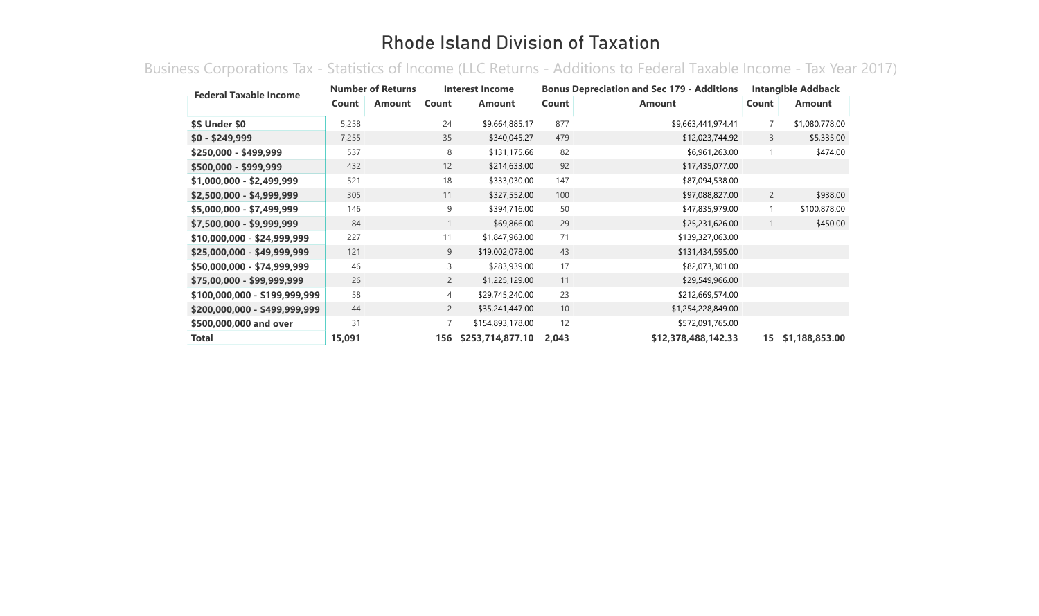Business Corporations Tax - Statistics of Income (LLC Returns - Additions to Federal Taxable Income - Tax Year 2017)

| <b>Federal Taxable Income</b> | <b>Number of Returns</b> |               | Interest Income |                  | <b>Bonus Depreciation and Sec 179 - Additions</b> |                     |                | <b>Intangible Addback</b> |  |  |
|-------------------------------|--------------------------|---------------|-----------------|------------------|---------------------------------------------------|---------------------|----------------|---------------------------|--|--|
|                               | Count                    | <b>Amount</b> | Count           | <b>Amount</b>    | Count                                             | <b>Amount</b>       | Count          | <b>Amount</b>             |  |  |
| \$\$ Under \$0                | 5,258                    |               | 24              | \$9,664,885.17   | 877                                               | \$9,663,441,974.41  | $\overline{7}$ | \$1,080,778.00            |  |  |
| $$0 - $249,999$               | 7,255                    |               | 35              | \$340,045.27     | 479                                               | \$12,023,744.92     | 3              | \$5,335.00                |  |  |
| \$250,000 - \$499,999         | 537                      |               | 8               | \$131,175.66     | 82                                                | \$6,961,263.00      |                | \$474.00                  |  |  |
| \$500,000 - \$999,999         | 432                      |               | 12              | \$214,633.00     | 92                                                | \$17,435,077.00     |                |                           |  |  |
| \$1,000,000 - \$2,499,999     | 521                      |               | 18              | \$333,030.00     | 147                                               | \$87,094,538.00     |                |                           |  |  |
| \$2,500,000 - \$4,999,999     | 305                      |               | 11              | \$327,552.00     | 100                                               | \$97,088,827.00     | $\overline{2}$ | \$938.00                  |  |  |
| \$5,000,000 - \$7,499,999     | 146                      |               | 9               | \$394,716.00     | 50                                                | \$47,835,979.00     | $\mathbf{1}$   | \$100,878.00              |  |  |
| \$7,500,000 - \$9,999,999     | 84                       |               |                 | \$69,866.00      | 29                                                | \$25,231,626.00     | $\mathbf{1}$   | \$450.00                  |  |  |
| \$10,000,000 - \$24,999,999   | 227                      |               | 11              | \$1,847,963.00   | 71                                                | \$139,327,063.00    |                |                           |  |  |
| \$25,000,000 - \$49,999,999   | 121                      |               | 9               | \$19,002,078.00  | 43                                                | \$131,434,595.00    |                |                           |  |  |
| \$50,000,000 - \$74,999,999   | 46                       |               | 3               | \$283,939.00     | 17                                                | \$82,073,301.00     |                |                           |  |  |
| \$75,00,000 - \$99,999,999    | 26                       |               | $\overline{2}$  | \$1,225,129.00   | 11                                                | \$29,549,966.00     |                |                           |  |  |
| \$100,000,000 - \$199,999,999 | 58                       |               | 4               | \$29,745,240.00  | 23                                                | \$212,669,574.00    |                |                           |  |  |
| \$200,000,000 - \$499,999,999 | 44                       |               | $\overline{2}$  | \$35,241,447.00  | 10                                                | \$1,254,228,849.00  |                |                           |  |  |
| \$500,000,000 and over        | 31                       |               | 7               | \$154,893,178.00 | 12                                                | \$572,091,765.00    |                |                           |  |  |
| <b>Total</b>                  | 15,091                   |               | 156             | \$253,714,877.10 | 2,043                                             | \$12,378,488,142.33 | 15             | \$1,188,853.00            |  |  |